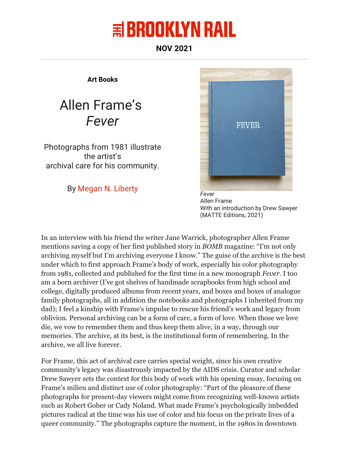## $\equiv$  BROOKLYN RAIL

**NOV 2021**

**Art Books**

## Allen Frame's *Fever*

Photographs from 1981 illustrate the artist's archival care for his community.

By Megan N. Liberty *Fever*



Allen Frame With an introduction by Drew Sawyer (MATTE Editions, 2021)

In an interview with his friend the writer Jane Warrick, photographer Allen Frame mentions saving a copy of her first published story in *BOMB* magazine: "I'm not only archiving myself but I'm archiving everyone I know." The guise of the archive is the best under which to first approach Frame's body of work, especially his color photography from 1981, collected and published for the first time in a new monograph *Fever*. I too am a born archiver (I've got shelves of handmade scrapbooks from high school and college, digitally produced albums from recent years, and boxes and boxes of analogue family photographs, all in addition the notebooks and photographs I inherited from my dad); I feel a kinship with Frame's impulse to rescue his friend's work and legacy from oblivion. Personal archiving can be a form of care, a form of love. When those we love die, we vow to remember them and thus keep them alive, in a way, through our memories. The archive, at its best, is the institutional form of remembering. In the archive, we all live forever.

For Frame, this act of archival care carries special weight, since his own creative community's legacy was disastrously impacted by the AIDS crisis. Curator and scholar Drew Sawyer sets the context for this body of work with his opening essay, focusing on Frame's milieu and distinct use of color photography: "Part of the pleasure of these photographs for present-day viewers might come from recognizing well-known artists such as Robert Gober or Cady Noland. What made Frame's psychologically imbedded pictures radical at the time was his use of color and his focus on the private lives of a queer community." The photographs capture the moment, in the 1980s in downtown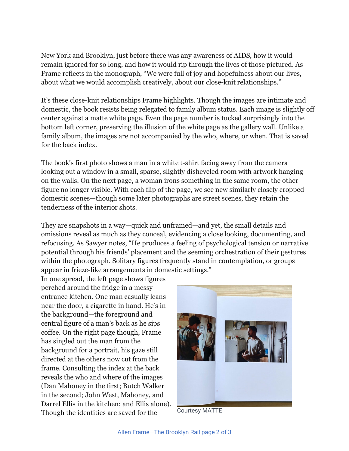New York and Brooklyn, just before there was any awareness of AIDS, how it would remain ignored for so long, and how it would rip through the lives of those pictured. As Frame reflects in the monograph, "We were full of joy and hopefulness about our lives, about what we would accomplish creatively, about our close-knit relationships."

It's these close-knit relationships Frame highlights. Though the images are intimate and domestic, the book resists being relegated to family album status. Each image is slightly off center against a matte white page. Even the page number is tucked surprisingly into the bottom left corner, preserving the illusion of the white page as the gallery wall. Unlike a family album, the images are not accompanied by the who, where, or when. That is saved for the back index.

The book's first photo shows a man in a white t-shirt facing away from the camera looking out a window in a small, sparse, slightly disheveled room with artwork hanging on the walls. On the next page, a woman irons something in the same room, the other figure no longer visible. With each flip of the page, we see new similarly closely cropped domestic scenes—though some later photographs are street scenes, they retain the tenderness of the interior shots.

They are snapshots in a way—quick and unframed—and yet, the small details and omissions reveal as much as they conceal, evidencing a close looking, documenting, and refocusing. As Sawyer notes, "He produces a feeling of psychological tension or narrative potential through his friends' placement and the seeming orchestration of their gestures within the photograph. Solitary figures frequently stand in contemplation, or groups appear in frieze-like arrangements in domestic settings."

In one spread, the left page shows figures perched around the fridge in a messy entrance kitchen. One man casually leans near the door, a cigarette in hand. He's in the background—the foreground and central figure of a man's back as he sips coffee. On the right page though, Frame has singled out the man from the background for a portrait, his gaze still directed at the others now cut from the frame. Consulting the index at the back reveals the who and where of the images (Dan Mahoney in the first; Butch Walker in the second; John West, Mahoney, and Darrel Ellis in the kitchen; and Ellis alone). Though the identities are saved for the Courtesy MATTE